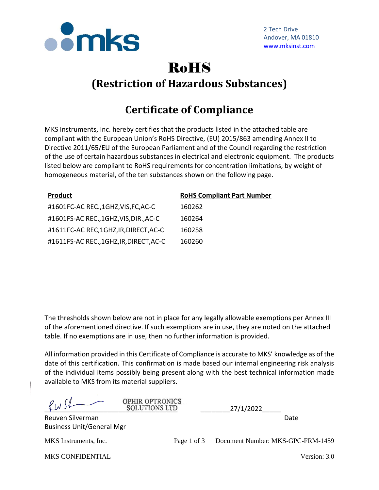

## RoHS **(Restriction of Hazardous Substances)**

## **Certificate of Compliance**

MKS Instruments, Inc. hereby certifies that the products listed in the attached table are compliant with the European Union's RoHS Directive, (EU) 2015/863 amending Annex II to Directive 2011/65/EU of the European Parliament and of the Council regarding the restriction of the use of certain hazardous substances in electrical and electronic equipment. The products listed below are compliant to RoHS requirements for concentration limitations, by weight of homogeneous material, of the ten substances shown on the following page.

| <b>Product</b>                        | <b>RoHS Compliant Part Number</b> |
|---------------------------------------|-----------------------------------|
| #1601FC-AC REC.,1GHZ,VIS,FC,AC-C      | 160262                            |
| #1601FS-AC REC.,1GHZ, VIS, DIR., AC-C | 160264                            |
| #1611FC-AC REC,1GHZ,IR,DIRECT,AC-C    | 160258                            |
| #1611FS-AC REC.,1GHZ,IR,DIRECT,AC-C   | 160260                            |

The thresholds shown below are not in place for any legally allowable exemptions per Annex III of the aforementioned directive. If such exemptions are in use, they are noted on the attached table. If no exemptions are in use, then no further information is provided.

All information provided in this Certificate of Compliance is accurate to MKS' knowledge as of the date of this certification. This confirmation is made based our internal engineering risk analysis of the individual items possibly being present along with the best technical information made available to MKS from its material suppliers.

|                                                      | <b>OPHIR OPTRONICS</b><br><b>SOLUTIONS LTD</b> | 27/1/2022                         |
|------------------------------------------------------|------------------------------------------------|-----------------------------------|
| Reuven Silverman<br><b>Business Unit/General Mgr</b> |                                                | Date                              |
| MKS Instruments, Inc.                                | Page 1 of 3                                    | Document Number: MKS-GPC-FRM-1459 |
| <b>MKS CONFIDENTIAL</b>                              |                                                | Version: 3.0                      |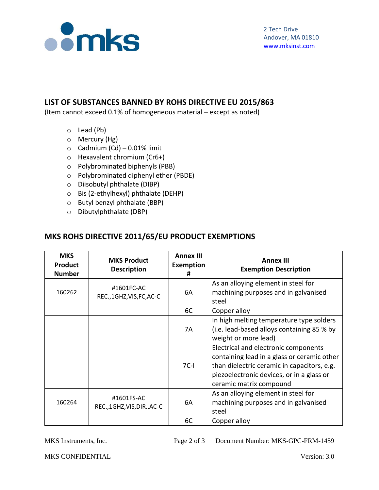

## **LIST OF SUBSTANCES BANNED BY ROHS DIRECTIVE EU 2015/863**

(Item cannot exceed 0.1% of homogeneous material – except as noted)

- o Lead (Pb)
- o Mercury (Hg)
- $\circ$  Cadmium (Cd) 0.01% limit
- o Hexavalent chromium (Cr6+)
- o Polybrominated biphenyls (PBB)
- o Polybrominated diphenyl ether (PBDE)
- o Diisobutyl phthalate (DIBP)
- o Bis (2-ethylhexyl) phthalate (DEHP)
- o Butyl benzyl phthalate (BBP)
- o Dibutylphthalate (DBP)

## **MKS ROHS DIRECTIVE 2011/65/EU PRODUCT EXEMPTIONS**

| <b>MKS</b><br><b>Product</b><br><b>Number</b> | <b>MKS Product</b><br><b>Description</b> | <b>Annex III</b><br><b>Exemption</b><br># | <b>Annex III</b><br><b>Exemption Description</b>                                                                                                                                                           |
|-----------------------------------------------|------------------------------------------|-------------------------------------------|------------------------------------------------------------------------------------------------------------------------------------------------------------------------------------------------------------|
| 160262                                        | #1601FC-AC<br>REC., 1GHZ, VIS, FC, AC-C  | 6A                                        | As an alloying element in steel for<br>machining purposes and in galvanised<br>steel                                                                                                                       |
|                                               |                                          | 6C                                        | Copper alloy                                                                                                                                                                                               |
|                                               |                                          | 7A                                        | In high melting temperature type solders<br>(i.e. lead-based alloys containing 85 % by<br>weight or more lead)                                                                                             |
|                                               |                                          | $7C-I$                                    | Electrical and electronic components<br>containing lead in a glass or ceramic other<br>than dielectric ceramic in capacitors, e.g.<br>piezoelectronic devices, or in a glass or<br>ceramic matrix compound |
| 160264                                        | #1601FS-AC<br>REC.,1GHZ,VIS,DIR.,AC-C    | 6A                                        | As an alloying element in steel for<br>machining purposes and in galvanised<br>steel                                                                                                                       |
|                                               |                                          | 6C                                        | Copper alloy                                                                                                                                                                                               |

MKS Instruments, Inc. Page 2 of 3 Document Number: MKS-GPC-FRM-1459

MKS CONFIDENTIAL Version: 3.0